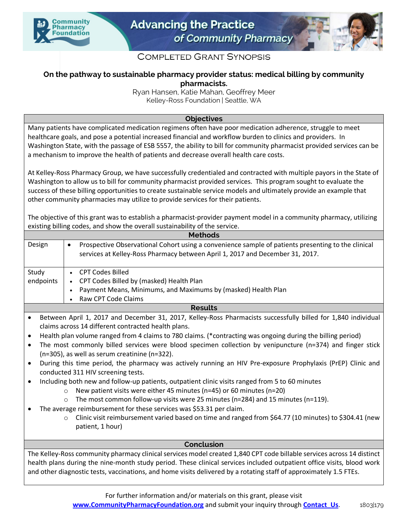



## **COMPLETED GRANT SYNOPSIS**

## **On the pathway to sustainable pharmacy provider status: medical billing by community pharmacists.**

Ryan Hansen, Katie Mahan, Geoffrey Meer Kelley-Ross Foundation | Seattle, WA

## **Objectives**

Many patients have complicated medication regimens often have poor medication adherence, struggle to meet healthcare goals, and pose a potential increased financial and workflow burden to clinics and providers. In Washington State, with the passage of ESB 5557, the ability to bill for community pharmacist provided services can be a mechanism to improve the health of patients and decrease overall health care costs.

At Kelley-Ross Pharmacy Group, we have successfully credentialed and contracted with multiple payors in the State of Washington to allow us to bill for community pharmacist provided services. This program sought to evaluate the success of these billing opportunities to create sustainable service models and ultimately provide an example that other community pharmacies may utilize to provide services for their patients.

The objective of this grant was to establish a pharmacist-provider payment model in a community pharmacy, utilizing existing billing codes, and show the overall sustainability of the service.

| <b>Methods</b>                                                                                                         |                                                                                                                  |
|------------------------------------------------------------------------------------------------------------------------|------------------------------------------------------------------------------------------------------------------|
| Design                                                                                                                 | Prospective Observational Cohort using a convenience sample of patients presenting to the clinical<br>$\bullet$  |
|                                                                                                                        | services at Kelley-Ross Pharmacy between April 1, 2017 and December 31, 2017.                                    |
|                                                                                                                        |                                                                                                                  |
| Study                                                                                                                  | <b>CPT Codes Billed</b><br>$\bullet$                                                                             |
| endpoints                                                                                                              | CPT Codes Billed by (masked) Health Plan                                                                         |
|                                                                                                                        | Payment Means, Minimums, and Maximums by (masked) Health Plan                                                    |
|                                                                                                                        | Raw CPT Code Claims                                                                                              |
| <b>Results</b>                                                                                                         |                                                                                                                  |
| $\bullet$                                                                                                              | Between April 1, 2017 and December 31, 2017, Kelley-Ross Pharmacists successfully billed for 1,840 individual    |
|                                                                                                                        | claims across 14 different contracted health plans.                                                              |
| $\bullet$                                                                                                              | Health plan volume ranged from 4 claims to 780 claims. (*contracting was ongoing during the billing period)      |
| $\bullet$                                                                                                              | The most commonly billed services were blood specimen collection by venipuncture ( $n=374$ ) and finger stick    |
| (n=305), as well as serum creatinine (n=322).                                                                          |                                                                                                                  |
| $\bullet$                                                                                                              | During this time period, the pharmacy was actively running an HIV Pre-exposure Prophylaxis (PrEP) Clinic and     |
| conducted 311 HIV screening tests.                                                                                     |                                                                                                                  |
| $\bullet$                                                                                                              | Including both new and follow-up patients, outpatient clinic visits ranged from 5 to 60 minutes                  |
|                                                                                                                        | New patient visits were either 45 minutes (n=45) or 60 minutes (n=20)<br>$\Omega$                                |
|                                                                                                                        | The most common follow-up visits were 25 minutes (n=284) and 15 minutes (n=119).<br>$\Omega$                     |
|                                                                                                                        | The average reimbursement for these services was \$53.31 per claim.                                              |
|                                                                                                                        | Clinic visit reimbursement varied based on time and ranged from \$64.77 (10 minutes) to \$304.41 (new<br>$\circ$ |
|                                                                                                                        | patient, 1 hour)                                                                                                 |
|                                                                                                                        |                                                                                                                  |
| Conclusion                                                                                                             |                                                                                                                  |
| The Kelley-Ross community pharmacy clinical services model created 1,840 CPT code billable services across 14 distinct |                                                                                                                  |
| health plans during the nine-month study period. These clinical services included outpatient office visits, blood work |                                                                                                                  |
| and other diagnostic tests, vaccinations, and home visits delivered by a rotating staff of approximately 1.5 FTEs.     |                                                                                                                  |
|                                                                                                                        |                                                                                                                  |